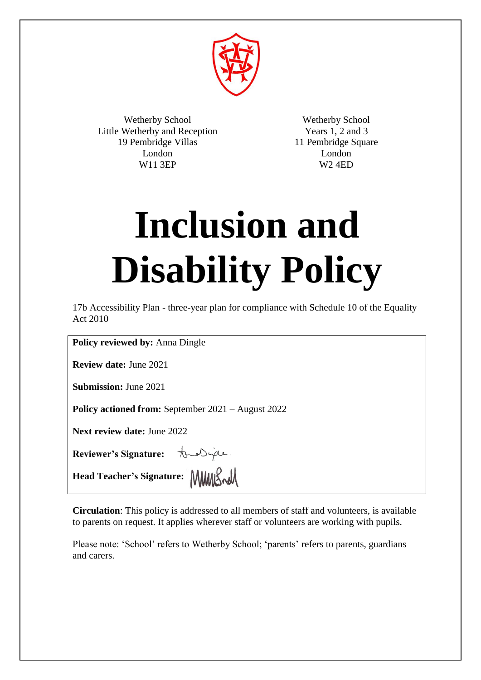

Wetherby School Little Wetherby and Reception 19 Pembridge Villas London W11 3EP

Wetherby School Years 1, 2 and 3 11 Pembridge Square London W2 4ED

# **Inclusion and Disability Policy**

17b Accessibility Plan - three-year plan for compliance with Schedule 10 of the Equality Act 2010

**Policy reviewed by:** Anna Dingle

**Review date:** June 2021

**Submission:** June 2021

**Policy actioned from:** September 2021 – August 2022

**Next review date:** June 2022

**Reviewer's Signature: the Diple**.

**Head Teacher's Signature:**

**Circulation**: This policy is addressed to all members of staff and volunteers, is available to parents on request. It applies wherever staff or volunteers are working with pupils.

Please note: 'School' refers to Wetherby School; 'parents' refers to parents, guardians and carers.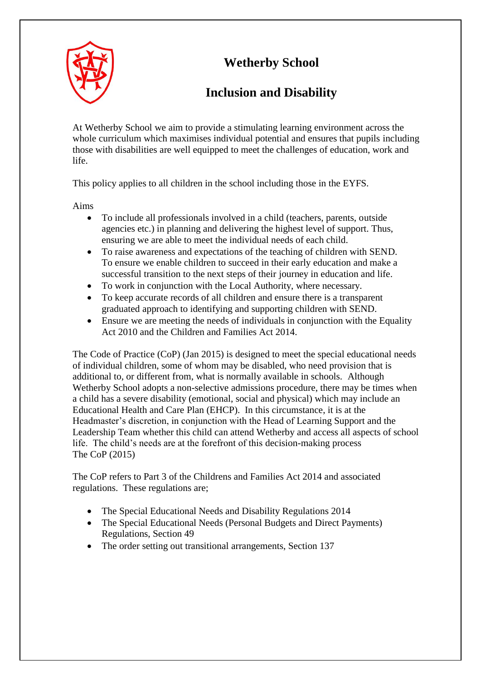# **Wetherby School**



# **Inclusion and Disability**

At Wetherby School we aim to provide a stimulating learning environment across the whole curriculum which maximises individual potential and ensures that pupils including those with disabilities are well equipped to meet the challenges of education, work and life.

This policy applies to all children in the school including those in the EYFS.

Aims

- To include all professionals involved in a child (teachers, parents, outside agencies etc.) in planning and delivering the highest level of support. Thus, ensuring we are able to meet the individual needs of each child.
- To raise awareness and expectations of the teaching of children with SEND. To ensure we enable children to succeed in their early education and make a successful transition to the next steps of their journey in education and life.
- To work in conjunction with the Local Authority, where necessary.
- To keep accurate records of all children and ensure there is a transparent graduated approach to identifying and supporting children with SEND.
- Ensure we are meeting the needs of individuals in conjunction with the Equality Act 2010 and the Children and Families Act 2014.

The Code of Practice (CoP) (Jan 2015) is designed to meet the special educational needs of individual children, some of whom may be disabled, who need provision that is additional to, or different from, what is normally available in schools. Although Wetherby School adopts a non-selective admissions procedure, there may be times when a child has a severe disability (emotional, social and physical) which may include an Educational Health and Care Plan (EHCP). In this circumstance, it is at the Headmaster's discretion, in conjunction with the Head of Learning Support and the Leadership Team whether this child can attend Wetherby and access all aspects of school life. The child's needs are at the forefront of this decision-making process The CoP (2015)

The CoP refers to Part 3 of the Childrens and Families Act 2014 and associated regulations. These regulations are;

- The Special Educational Needs and Disability Regulations 2014
- The Special Educational Needs (Personal Budgets and Direct Payments) Regulations, Section 49
- The order setting out transitional arrangements, Section 137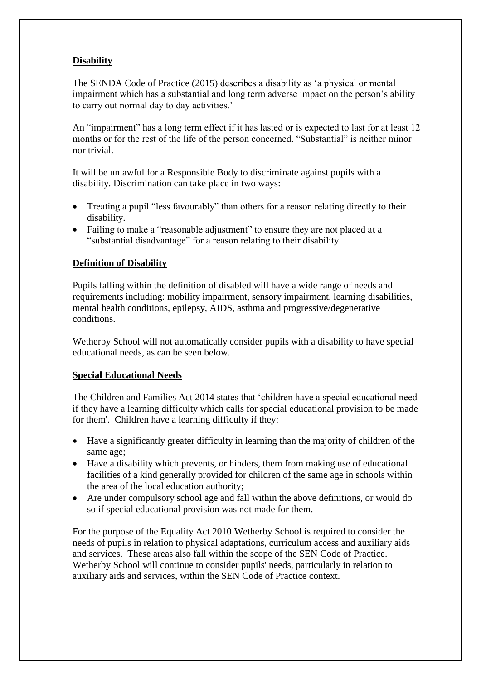# **Disability**

The SENDA Code of Practice (2015) describes a disability as 'a physical or mental impairment which has a substantial and long term adverse impact on the person's ability to carry out normal day to day activities.'

An "impairment" has a long term effect if it has lasted or is expected to last for at least 12 months or for the rest of the life of the person concerned. "Substantial" is neither minor nor trivial.

It will be unlawful for a Responsible Body to discriminate against pupils with a disability. Discrimination can take place in two ways:

- Treating a pupil "less favourably" than others for a reason relating directly to their disability.
- Failing to make a "reasonable adjustment" to ensure they are not placed at a "substantial disadvantage" for a reason relating to their disability.

#### **Definition of Disability**

Pupils falling within the definition of disabled will have a wide range of needs and requirements including: mobility impairment, sensory impairment, learning disabilities, mental health conditions, epilepsy, AIDS, asthma and progressive/degenerative conditions.

Wetherby School will not automatically consider pupils with a disability to have special educational needs, as can be seen below.

#### **Special Educational Needs**

The Children and Families Act 2014 states that 'children have a special educational need if they have a learning difficulty which calls for special educational provision to be made for them'. Children have a learning difficulty if they:

- Have a significantly greater difficulty in learning than the majority of children of the same age;
- Have a disability which prevents, or hinders, them from making use of educational facilities of a kind generally provided for children of the same age in schools within the area of the local education authority;
- Are under compulsory school age and fall within the above definitions, or would do so if special educational provision was not made for them.

For the purpose of the Equality Act 2010 Wetherby School is required to consider the needs of pupils in relation to physical adaptations, curriculum access and auxiliary aids and services. These areas also fall within the scope of the SEN Code of Practice. Wetherby School will continue to consider pupils' needs, particularly in relation to auxiliary aids and services, within the SEN Code of Practice context.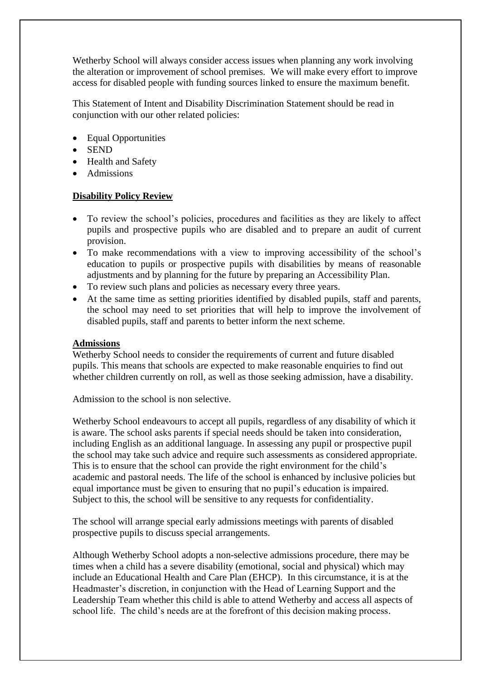Wetherby School will always consider access issues when planning any work involving the alteration or improvement of school premises. We will make every effort to improve access for disabled people with funding sources linked to ensure the maximum benefit.

This Statement of Intent and Disability Discrimination Statement should be read in conjunction with our other related policies:

- Equal Opportunities
- SEND
- Health and Safety
- Admissions

#### **Disability Policy Review**

- To review the school's policies, procedures and facilities as they are likely to affect pupils and prospective pupils who are disabled and to prepare an audit of current provision.
- To make recommendations with a view to improving accessibility of the school's education to pupils or prospective pupils with disabilities by means of reasonable adjustments and by planning for the future by preparing an Accessibility Plan.
- To review such plans and policies as necessary every three years.
- At the same time as setting priorities identified by disabled pupils, staff and parents, the school may need to set priorities that will help to improve the involvement of disabled pupils, staff and parents to better inform the next scheme.

#### **Admissions**

Wetherby School needs to consider the requirements of current and future disabled pupils. This means that schools are expected to make reasonable enquiries to find out whether children currently on roll, as well as those seeking admission, have a disability.

Admission to the school is non selective.

Wetherby School endeavours to accept all pupils, regardless of any disability of which it is aware. The school asks parents if special needs should be taken into consideration, including English as an additional language. In assessing any pupil or prospective pupil the school may take such advice and require such assessments as considered appropriate. This is to ensure that the school can provide the right environment for the child's academic and pastoral needs. The life of the school is enhanced by inclusive policies but equal importance must be given to ensuring that no pupil's education is impaired. Subject to this, the school will be sensitive to any requests for confidentiality.

The school will arrange special early admissions meetings with parents of disabled prospective pupils to discuss special arrangements.

Although Wetherby School adopts a non-selective admissions procedure, there may be times when a child has a severe disability (emotional, social and physical) which may include an Educational Health and Care Plan (EHCP). In this circumstance, it is at the Headmaster's discretion, in conjunction with the Head of Learning Support and the Leadership Team whether this child is able to attend Wetherby and access all aspects of school life. The child's needs are at the forefront of this decision making process.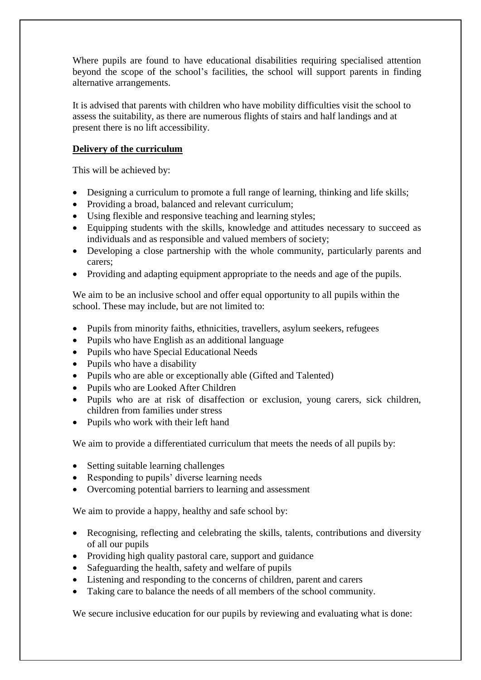Where pupils are found to have educational disabilities requiring specialised attention beyond the scope of the school's facilities, the school will support parents in finding alternative arrangements.

It is advised that parents with children who have mobility difficulties visit the school to assess the suitability, as there are numerous flights of stairs and half landings and at present there is no lift accessibility.

## **Delivery of the curriculum**

This will be achieved by:

- Designing a curriculum to promote a full range of learning, thinking and life skills;
- Providing a broad, balanced and relevant curriculum:
- Using flexible and responsive teaching and learning styles;
- Equipping students with the skills, knowledge and attitudes necessary to succeed as individuals and as responsible and valued members of society;
- Developing a close partnership with the whole community, particularly parents and carers;
- Providing and adapting equipment appropriate to the needs and age of the pupils.

We aim to be an inclusive school and offer equal opportunity to all pupils within the school. These may include, but are not limited to:

- Pupils from minority faiths, ethnicities, travellers, asylum seekers, refugees
- Pupils who have English as an additional language
- Pupils who have Special Educational Needs
- Pupils who have a disability
- Pupils who are able or exceptionally able (Gifted and Talented)
- Pupils who are Looked After Children
- Pupils who are at risk of disaffection or exclusion, young carers, sick children, children from families under stress
- Pupils who work with their left hand

We aim to provide a differentiated curriculum that meets the needs of all pupils by:

- Setting suitable learning challenges
- Responding to pupils' diverse learning needs
- Overcoming potential barriers to learning and assessment

We aim to provide a happy, healthy and safe school by:

- Recognising, reflecting and celebrating the skills, talents, contributions and diversity of all our pupils
- Providing high quality pastoral care, support and guidance
- Safeguarding the health, safety and welfare of pupils
- Listening and responding to the concerns of children, parent and carers
- Taking care to balance the needs of all members of the school community.

We secure inclusive education for our pupils by reviewing and evaluating what is done: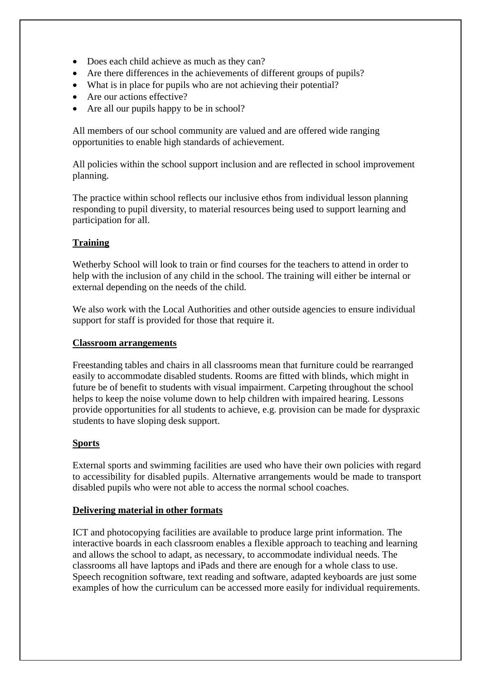- Does each child achieve as much as they can?
- Are there differences in the achievements of different groups of pupils?
- What is in place for pupils who are not achieving their potential?
- Are our actions effective?
- Are all our pupils happy to be in school?

All members of our school community are valued and are offered wide ranging opportunities to enable high standards of achievement.

All policies within the school support inclusion and are reflected in school improvement planning.

The practice within school reflects our inclusive ethos from individual lesson planning responding to pupil diversity, to material resources being used to support learning and participation for all.

# **Training**

Wetherby School will look to train or find courses for the teachers to attend in order to help with the inclusion of any child in the school. The training will either be internal or external depending on the needs of the child.

We also work with the Local Authorities and other outside agencies to ensure individual support for staff is provided for those that require it.

#### **Classroom arrangements**

Freestanding tables and chairs in all classrooms mean that furniture could be rearranged easily to accommodate disabled students. Rooms are fitted with blinds, which might in future be of benefit to students with visual impairment. Carpeting throughout the school helps to keep the noise volume down to help children with impaired hearing. Lessons provide opportunities for all students to achieve, e.g. provision can be made for dyspraxic students to have sloping desk support.

#### **Sports**

External sports and swimming facilities are used who have their own policies with regard to accessibility for disabled pupils. Alternative arrangements would be made to transport disabled pupils who were not able to access the normal school coaches.

#### **Delivering material in other formats**

ICT and photocopying facilities are available to produce large print information. The interactive boards in each classroom enables a flexible approach to teaching and learning and allows the school to adapt, as necessary, to accommodate individual needs. The classrooms all have laptops and iPads and there are enough for a whole class to use. Speech recognition software, text reading and software, adapted keyboards are just some examples of how the curriculum can be accessed more easily for individual requirements.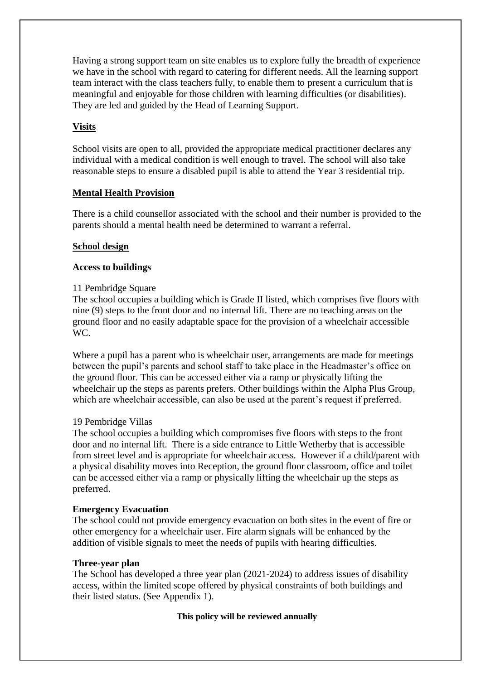Having a strong support team on site enables us to explore fully the breadth of experience we have in the school with regard to catering for different needs. All the learning support team interact with the class teachers fully, to enable them to present a curriculum that is meaningful and enjoyable for those children with learning difficulties (or disabilities). They are led and guided by the Head of Learning Support.

## **Visits**

School visits are open to all, provided the appropriate medical practitioner declares any individual with a medical condition is well enough to travel. The school will also take reasonable steps to ensure a disabled pupil is able to attend the Year 3 residential trip.

#### **Mental Health Provision**

There is a child counsellor associated with the school and their number is provided to the parents should a mental health need be determined to warrant a referral.

#### **School design**

#### **Access to buildings**

#### 11 Pembridge Square

The school occupies a building which is Grade II listed, which comprises five floors with nine (9) steps to the front door and no internal lift. There are no teaching areas on the ground floor and no easily adaptable space for the provision of a wheelchair accessible WC.

Where a pupil has a parent who is wheelchair user, arrangements are made for meetings between the pupil's parents and school staff to take place in the Headmaster's office on the ground floor. This can be accessed either via a ramp or physically lifting the wheelchair up the steps as parents prefers. Other buildings within the Alpha Plus Group, which are wheelchair accessible, can also be used at the parent's request if preferred.

#### 19 Pembridge Villas

The school occupies a building which compromises five floors with steps to the front door and no internal lift. There is a side entrance to Little Wetherby that is accessible from street level and is appropriate for wheelchair access. However if a child/parent with a physical disability moves into Reception, the ground floor classroom, office and toilet can be accessed either via a ramp or physically lifting the wheelchair up the steps as preferred.

#### **Emergency Evacuation**

The school could not provide emergency evacuation on both sites in the event of fire or other emergency for a wheelchair user. Fire alarm signals will be enhanced by the addition of visible signals to meet the needs of pupils with hearing difficulties.

#### **Three-year plan**

The School has developed a three year plan (2021-2024) to address issues of disability access, within the limited scope offered by physical constraints of both buildings and their listed status. (See Appendix 1).

#### **This policy will be reviewed annually**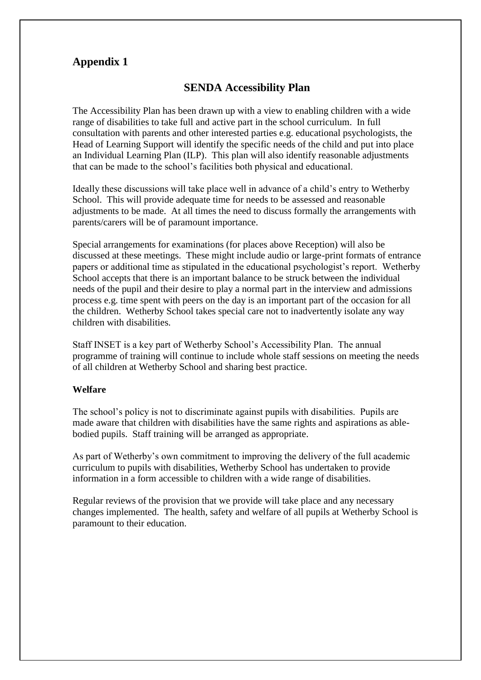# **Appendix 1**

# **SENDA Accessibility Plan**

The Accessibility Plan has been drawn up with a view to enabling children with a wide range of disabilities to take full and active part in the school curriculum. In full consultation with parents and other interested parties e.g. educational psychologists, the Head of Learning Support will identify the specific needs of the child and put into place an Individual Learning Plan (ILP). This plan will also identify reasonable adjustments that can be made to the school's facilities both physical and educational.

Ideally these discussions will take place well in advance of a child's entry to Wetherby School. This will provide adequate time for needs to be assessed and reasonable adjustments to be made. At all times the need to discuss formally the arrangements with parents/carers will be of paramount importance.

Special arrangements for examinations (for places above Reception) will also be discussed at these meetings. These might include audio or large-print formats of entrance papers or additional time as stipulated in the educational psychologist's report. Wetherby School accepts that there is an important balance to be struck between the individual needs of the pupil and their desire to play a normal part in the interview and admissions process e.g. time spent with peers on the day is an important part of the occasion for all the children. Wetherby School takes special care not to inadvertently isolate any way children with disabilities.

Staff INSET is a key part of Wetherby School's Accessibility Plan. The annual programme of training will continue to include whole staff sessions on meeting the needs of all children at Wetherby School and sharing best practice.

#### **Welfare**

The school's policy is not to discriminate against pupils with disabilities. Pupils are made aware that children with disabilities have the same rights and aspirations as ablebodied pupils. Staff training will be arranged as appropriate.

As part of Wetherby's own commitment to improving the delivery of the full academic curriculum to pupils with disabilities, Wetherby School has undertaken to provide information in a form accessible to children with a wide range of disabilities.

Regular reviews of the provision that we provide will take place and any necessary changes implemented. The health, safety and welfare of all pupils at Wetherby School is paramount to their education.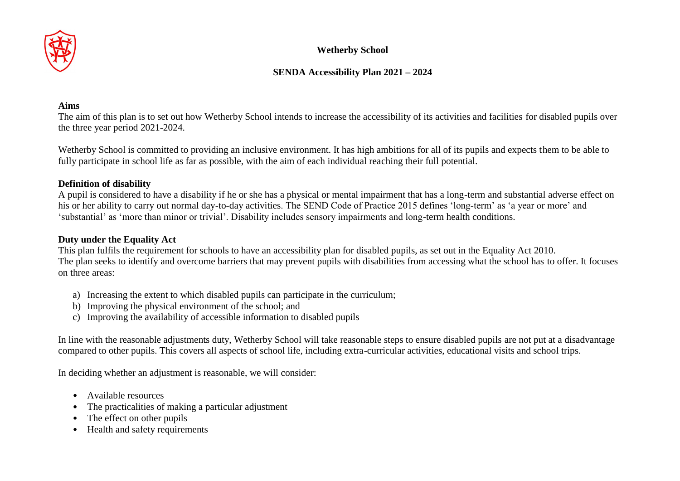

# **Wetherby School**

# **SENDA Accessibility Plan 2021 – 2024**

#### **Aims**

The aim of this plan is to set out how Wetherby School intends to increase the accessibility of its activities and facilities for disabled pupils over the three year period 2021-2024.

Wetherby School is committed to providing an inclusive environment. It has high ambitions for all of its pupils and expects them to be able to fully participate in school life as far as possible, with the aim of each individual reaching their full potential.

#### **Definition of disability**

A pupil is considered to have a disability if he or she has a physical or mental impairment that has a long-term and substantial adverse effect on his or her ability to carry out normal day-to-day activities. The SEND Code of Practice 2015 defines 'long-term' as 'a year or more' and 'substantial' as 'more than minor or trivial'. Disability includes sensory impairments and long-term health conditions.

#### **Duty under the Equality Act**

This plan fulfils the requirement for schools to have an accessibility plan for disabled pupils, as set out in the Equality Act 2010. The plan seeks to identify and overcome barriers that may prevent pupils with disabilities from accessing what the school has to offer. It focuses on three areas:

- a) Increasing the extent to which disabled pupils can participate in the curriculum;
- b) Improving the physical environment of the school; and
- c) Improving the availability of accessible information to disabled pupils

In line with the reasonable adjustments duty, Wetherby School will take reasonable steps to ensure disabled pupils are not put at a disadvantage compared to other pupils. This covers all aspects of school life, including extra-curricular activities, educational visits and school trips.

In deciding whether an adjustment is reasonable, we will consider:

- Available resources
- The practicalities of making a particular adjustment
- The effect on other pupils
- Health and safety requirements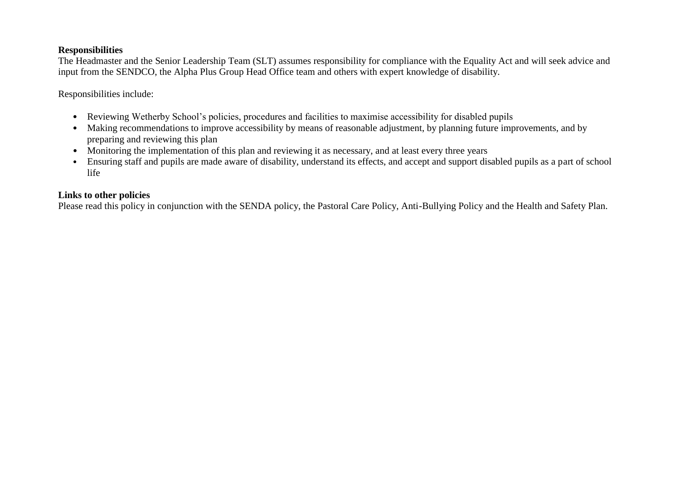#### **Responsibilities**

The Headmaster and the Senior Leadership Team (SLT) assumes responsibility for compliance with the Equality Act and will seek advice and input from the SENDCO, the Alpha Plus Group Head Office team and others with expert knowledge of disability.

Responsibilities include:

- Reviewing Wetherby School's policies, procedures and facilities to maximise accessibility for disabled pupils
- Making recommendations to improve accessibility by means of reasonable adjustment, by planning future improvements, and by preparing and reviewing this plan
- Monitoring the implementation of this plan and reviewing it as necessary, and at least every three years
- Ensuring staff and pupils are made aware of disability, understand its effects, and accept and support disabled pupils as a part of school life

#### **Links to other policies**

Please read this policy in conjunction with the SENDA policy, the Pastoral Care Policy, Anti-Bullying Policy and the Health and Safety Plan.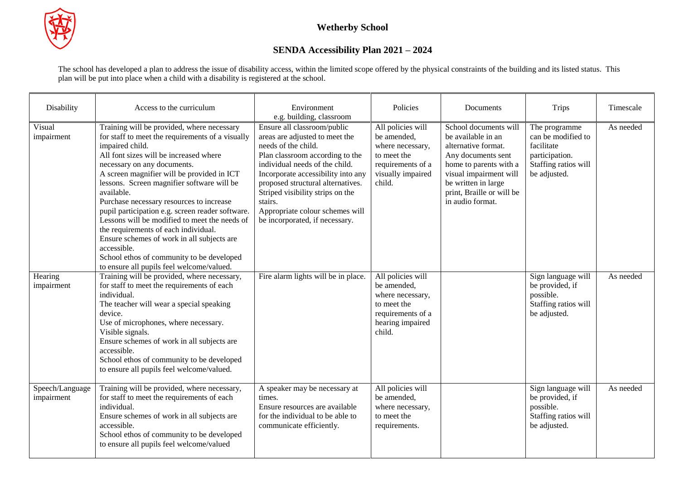

# **SENDA Accessibility Plan 2021 – 2024**

The school has developed a plan to address the issue of disability access, within the limited scope offered by the physical constraints of the building and its listed status. This plan will be put into place when a child with a disability is registered at the school.

| Disability                    | Access to the curriculum                                                                                                                                                                                                                                                                                                                                                                                                                                                                                                                                                                                                                             | Environment<br>e.g. building, classroom                                                                                                                                                                                                                                                                                                                  | Policies                                                                                                                | Documents                                                                                                                                                                                                            | <b>Trips</b>                                                                                                | Timescale |
|-------------------------------|------------------------------------------------------------------------------------------------------------------------------------------------------------------------------------------------------------------------------------------------------------------------------------------------------------------------------------------------------------------------------------------------------------------------------------------------------------------------------------------------------------------------------------------------------------------------------------------------------------------------------------------------------|----------------------------------------------------------------------------------------------------------------------------------------------------------------------------------------------------------------------------------------------------------------------------------------------------------------------------------------------------------|-------------------------------------------------------------------------------------------------------------------------|----------------------------------------------------------------------------------------------------------------------------------------------------------------------------------------------------------------------|-------------------------------------------------------------------------------------------------------------|-----------|
| Visual<br>impairment          | Training will be provided, where necessary<br>for staff to meet the requirements of a visually<br>impaired child.<br>All font sizes will be increased where<br>necessary on any documents.<br>A screen magnifier will be provided in ICT<br>lessons. Screen magnifier software will be<br>available.<br>Purchase necessary resources to increase<br>pupil participation e.g. screen reader software.<br>Lessons will be modified to meet the needs of<br>the requirements of each individual.<br>Ensure schemes of work in all subjects are<br>accessible.<br>School ethos of community to be developed<br>to ensure all pupils feel welcome/valued. | Ensure all classroom/public<br>areas are adjusted to meet the<br>needs of the child.<br>Plan classroom according to the<br>individual needs of the child.<br>Incorporate accessibility into any<br>proposed structural alternatives.<br>Striped visibility strips on the<br>stairs.<br>Appropriate colour schemes will<br>be incorporated, if necessary. | All policies will<br>be amended,<br>where necessary,<br>to meet the<br>requirements of a<br>visually impaired<br>child. | School documents will<br>be available in an<br>alternative format.<br>Any documents sent<br>home to parents with a<br>visual impairment will<br>be written in large<br>print, Braille or will be<br>in audio format. | The programme<br>can be modified to<br>facilitate<br>participation.<br>Staffing ratios will<br>be adjusted. | As needed |
| Hearing<br>impairment         | Training will be provided, where necessary,<br>for staff to meet the requirements of each<br>individual.<br>The teacher will wear a special speaking<br>device.<br>Use of microphones, where necessary.<br>Visible signals.<br>Ensure schemes of work in all subjects are<br>accessible.<br>School ethos of community to be developed<br>to ensure all pupils feel welcome/valued.                                                                                                                                                                                                                                                                   | Fire alarm lights will be in place.                                                                                                                                                                                                                                                                                                                      | All policies will<br>be amended,<br>where necessary,<br>to meet the<br>requirements of a<br>hearing impaired<br>child.  |                                                                                                                                                                                                                      | Sign language will<br>be provided, if<br>possible.<br>Staffing ratios will<br>be adjusted.                  | As needed |
| Speech/Language<br>impairment | Training will be provided, where necessary,<br>for staff to meet the requirements of each<br>individual.<br>Ensure schemes of work in all subjects are<br>accessible.<br>School ethos of community to be developed<br>to ensure all pupils feel welcome/valued                                                                                                                                                                                                                                                                                                                                                                                       | A speaker may be necessary at<br>times.<br>Ensure resources are available<br>for the individual to be able to<br>communicate efficiently.                                                                                                                                                                                                                | All policies will<br>be amended,<br>where necessary,<br>to meet the<br>requirements.                                    |                                                                                                                                                                                                                      | Sign language will<br>be provided, if<br>possible.<br>Staffing ratios will<br>be adjusted.                  | As needed |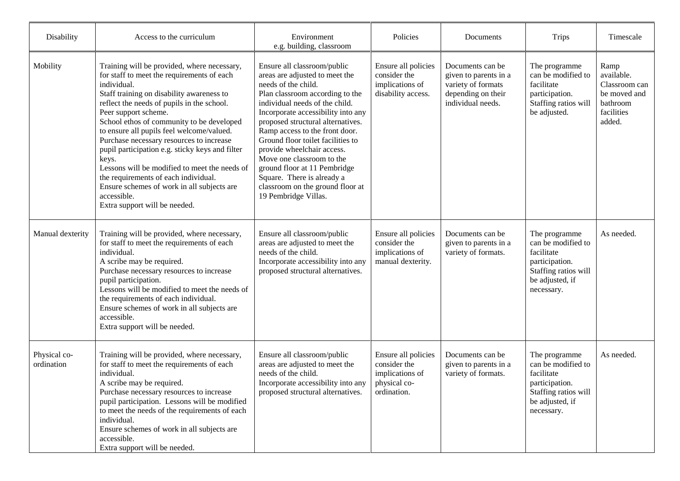| Disability                 | Access to the curriculum                                                                                                                                                                                                                                                                                                                                                                                                                                                                                                                                                                                             | Environment<br>e.g. building, classroom                                                                                                                                                                                                                                                                                                                                                                                                                                                          | Policies                                                                              | Documents                                                                                                  | <b>Trips</b>                                                                                                                 | Timescale                                                                               |
|----------------------------|----------------------------------------------------------------------------------------------------------------------------------------------------------------------------------------------------------------------------------------------------------------------------------------------------------------------------------------------------------------------------------------------------------------------------------------------------------------------------------------------------------------------------------------------------------------------------------------------------------------------|--------------------------------------------------------------------------------------------------------------------------------------------------------------------------------------------------------------------------------------------------------------------------------------------------------------------------------------------------------------------------------------------------------------------------------------------------------------------------------------------------|---------------------------------------------------------------------------------------|------------------------------------------------------------------------------------------------------------|------------------------------------------------------------------------------------------------------------------------------|-----------------------------------------------------------------------------------------|
| Mobility                   | Training will be provided, where necessary,<br>for staff to meet the requirements of each<br>individual.<br>Staff training on disability awareness to<br>reflect the needs of pupils in the school.<br>Peer support scheme.<br>School ethos of community to be developed<br>to ensure all pupils feel welcome/valued.<br>Purchase necessary resources to increase<br>pupil participation e.g. sticky keys and filter<br>keys.<br>Lessons will be modified to meet the needs of<br>the requirements of each individual.<br>Ensure schemes of work in all subjects are<br>accessible.<br>Extra support will be needed. | Ensure all classroom/public<br>areas are adjusted to meet the<br>needs of the child.<br>Plan classroom according to the<br>individual needs of the child.<br>Incorporate accessibility into any<br>proposed structural alternatives.<br>Ramp access to the front door.<br>Ground floor toilet facilities to<br>provide wheelchair access.<br>Move one classroom to the<br>ground floor at 11 Pembridge<br>Square. There is already a<br>classroom on the ground floor at<br>19 Pembridge Villas. | Ensure all policies<br>consider the<br>implications of<br>disability access.          | Documents can be<br>given to parents in a<br>variety of formats<br>depending on their<br>individual needs. | The programme<br>can be modified to<br>facilitate<br>participation.<br>Staffing ratios will<br>be adjusted.                  | Ramp<br>available.<br>Classroom can<br>be moved and<br>bathroom<br>facilities<br>added. |
| Manual dexterity           | Training will be provided, where necessary,<br>for staff to meet the requirements of each<br>individual.<br>A scribe may be required.<br>Purchase necessary resources to increase<br>pupil participation.<br>Lessons will be modified to meet the needs of<br>the requirements of each individual.<br>Ensure schemes of work in all subjects are<br>accessible.<br>Extra support will be needed.                                                                                                                                                                                                                     | Ensure all classroom/public<br>areas are adjusted to meet the<br>needs of the child.<br>Incorporate accessibility into any<br>proposed structural alternatives.                                                                                                                                                                                                                                                                                                                                  | Ensure all policies<br>consider the<br>implications of<br>manual dexterity.           | Documents can be<br>given to parents in a<br>variety of formats.                                           | The programme<br>can be modified to<br>facilitate<br>participation.<br>Staffing ratios will<br>be adjusted, if<br>necessary. | As needed.                                                                              |
| Physical co-<br>ordination | Training will be provided, where necessary,<br>for staff to meet the requirements of each<br>individual.<br>A scribe may be required.<br>Purchase necessary resources to increase<br>pupil participation. Lessons will be modified<br>to meet the needs of the requirements of each<br>individual.<br>Ensure schemes of work in all subjects are<br>accessible.<br>Extra support will be needed.                                                                                                                                                                                                                     | Ensure all classroom/public<br>areas are adjusted to meet the<br>needs of the child.<br>Incorporate accessibility into any<br>proposed structural alternatives.                                                                                                                                                                                                                                                                                                                                  | Ensure all policies<br>consider the<br>implications of<br>physical co-<br>ordination. | Documents can be<br>given to parents in a<br>variety of formats.                                           | The programme<br>can be modified to<br>facilitate<br>participation.<br>Staffing ratios will<br>be adjusted, if<br>necessary. | As needed.                                                                              |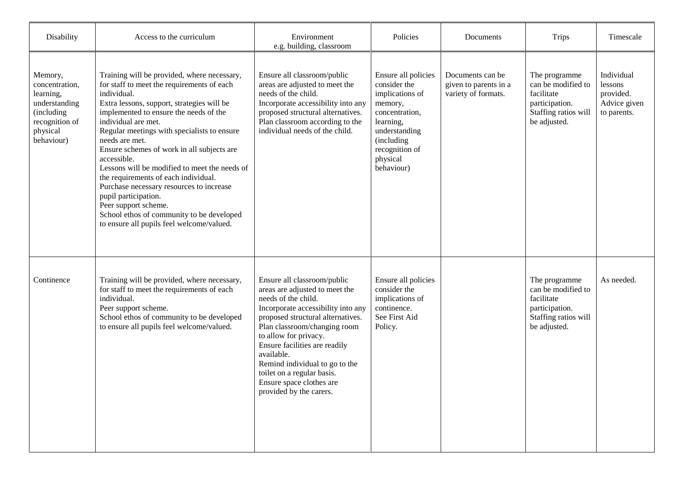| Disability                                                                                                        | Access to the curriculum                                                                                                                                                                                                                                                                                                                                                                                                                                                                                                                                                                                                             | Environment<br>e.g. building, classroom                                                                                                                                                                                                                                                                                                                                                        | Policies                                                                                                                                                                    | Documents                                                        | <b>Trips</b>                                                                                                | Timescale                                                         |
|-------------------------------------------------------------------------------------------------------------------|--------------------------------------------------------------------------------------------------------------------------------------------------------------------------------------------------------------------------------------------------------------------------------------------------------------------------------------------------------------------------------------------------------------------------------------------------------------------------------------------------------------------------------------------------------------------------------------------------------------------------------------|------------------------------------------------------------------------------------------------------------------------------------------------------------------------------------------------------------------------------------------------------------------------------------------------------------------------------------------------------------------------------------------------|-----------------------------------------------------------------------------------------------------------------------------------------------------------------------------|------------------------------------------------------------------|-------------------------------------------------------------------------------------------------------------|-------------------------------------------------------------------|
| Memory,<br>concentration,<br>learning,<br>understanding<br>(including<br>recognition of<br>physical<br>behaviour) | Training will be provided, where necessary,<br>for staff to meet the requirements of each<br>individual.<br>Extra lessons, support, strategies will be<br>implemented to ensure the needs of the<br>individual are met.<br>Regular meetings with specialists to ensure<br>needs are met.<br>Ensure schemes of work in all subjects are<br>accessible.<br>Lessons will be modified to meet the needs of<br>the requirements of each individual.<br>Purchase necessary resources to increase<br>pupil participation.<br>Peer support scheme.<br>School ethos of community to be developed<br>to ensure all pupils feel welcome/valued. | Ensure all classroom/public<br>areas are adjusted to meet the<br>needs of the child.<br>Incorporate accessibility into any<br>proposed structural alternatives.<br>Plan classroom according to the<br>individual needs of the child.                                                                                                                                                           | Ensure all policies<br>consider the<br>implications of<br>memory,<br>concentration,<br>learning,<br>understanding<br>(including<br>recognition of<br>physical<br>behaviour) | Documents can be<br>given to parents in a<br>variety of formats. | The programme<br>can be modified to<br>facilitate<br>participation.<br>Staffing ratios will<br>be adjusted. | Individual<br>lessons<br>provided.<br>Advice given<br>to parents. |
| Continence                                                                                                        | Training will be provided, where necessary,<br>for staff to meet the requirements of each<br>individual.<br>Peer support scheme.<br>School ethos of community to be developed<br>to ensure all pupils feel welcome/valued.                                                                                                                                                                                                                                                                                                                                                                                                           | Ensure all classroom/public<br>areas are adjusted to meet the<br>needs of the child.<br>Incorporate accessibility into any<br>proposed structural alternatives.<br>Plan classroom/changing room<br>to allow for privacy.<br>Ensure facilities are readily<br>available.<br>Remind individual to go to the<br>toilet on a regular basis.<br>Ensure space clothes are<br>provided by the carers. | Ensure all policies<br>consider the<br>implications of<br>continence.<br>See First Aid<br>Policy.                                                                           |                                                                  | The programme<br>can be modified to<br>facilitate<br>participation.<br>Staffing ratios will<br>be adjusted. | As needed.                                                        |